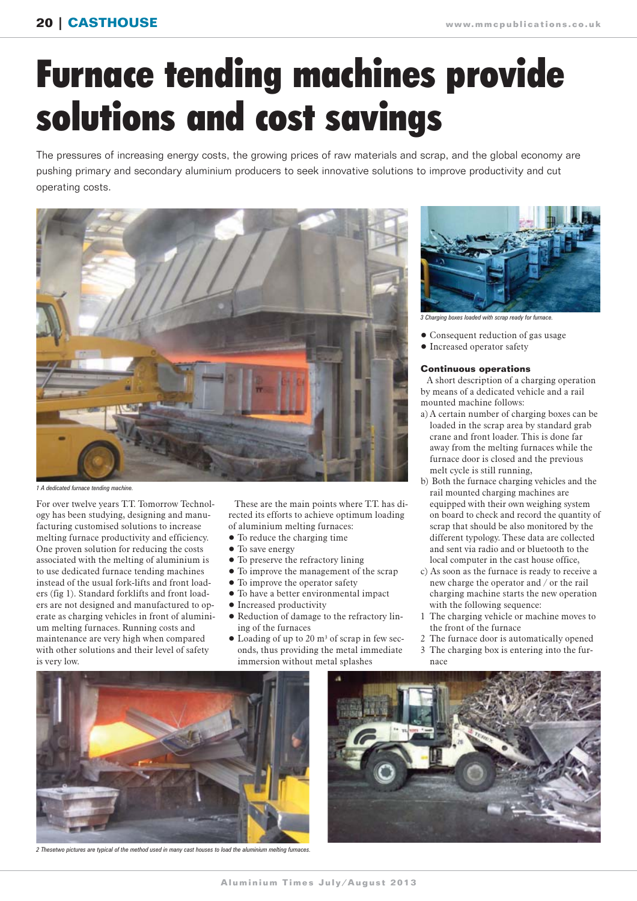## Furnace tending machines provide solutions and cost savings

The pressures of increasing energy costs, the growing prices of raw materials and scrap, and the global economy are pushing primary and secondary aluminium producers to seek innovative solutions to improve productivity and cut operating costs.



*1 A dedicated furnace tending machine.*

For over twelve years T.T. Tomorrow Technology has been studying, designing and manufacturing customised solutions to increase melting furnace productivity and efficiency. One proven solution for reducing the costs associated with the melting of aluminium is to use dedicated furnace tending machines instead of the usual fork-lifts and front loaders (fig 1). Standard forklifts and front loaders are not designed and manufactured to operate as charging vehicles in front of aluminium melting furnaces. Running costs and maintenance are very high when compared with other solutions and their level of safety is very low.

These are the main points where T.T. has directed its efforts to achieve optimum loading of aluminium melting furnaces:

- To reduce the charging time
- To save energy
- To preserve the refractory lining
- To improve the management of the scrap
- To improve the operator safety
- To have a better environmental impact
- Increased productivity
- Reduction of damage to the refractory lining of the furnaces
- Loading of up to 20 m3 of scrap in few seconds, thus providing the metal immediate immersion without metal splashes



*3 Charging boxes loaded with scrap ready for furnace.*

- Consequent reduction of gas usage
- Increased operator safety

## **Continuous operations**

A short description of a charging operation by means of a dedicated vehicle and a rail mounted machine follows:

- a) A certain number of charging boxes can be loaded in the scrap area by standard grab crane and front loader. This is done far away from the melting furnaces while the furnace door is closed and the previous melt cycle is still running,
- b) Both the furnace charging vehicles and the rail mounted charging machines are equipped with their own weighing system on board to check and record the quantity of scrap that should be also monitored by the different typology. These data are collected and sent via radio and or bluetooth to the local computer in the cast house office,
- c) As soon as the furnace is ready to receive a new charge the operator and / or the rail charging machine starts the new operation with the following sequence:
- 1 The charging vehicle or machine moves to the front of the furnace
- 2 The furnace door is automatically opened
- 3 The charging box is entering into the furnace



*2 Thesetwo pictures are typical of the method used in many cast houses to load the aluminium melting furnaces.*